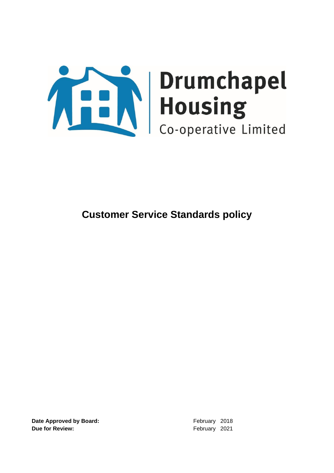

**Date Approved by Board:** February 2018 **Due for Review:**  $\qquad \qquad$  **Due for Review:**  $\qquad \qquad$  **February** 2021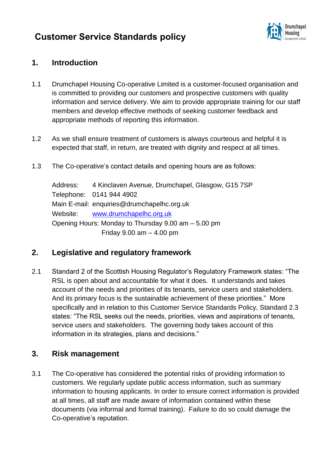

### **1. Introduction**

- 1.1 Drumchapel Housing Co-operative Limited is a customer-focused organisation and is committed to providing our customers and prospective customers with quality information and service delivery. We aim to provide appropriate training for our staff members and develop effective methods of seeking customer feedback and appropriate methods of reporting this information.
- 1.2 As we shall ensure treatment of customers is always courteous and helpful it is expected that staff, in return, are treated with dignity and respect at all times.
- 1.3 The Co-operative's contact details and opening hours are as follows:

Address: 4 Kinclaven Avenue, Drumchapel, Glasgow, G15 7SP Telephone: 0141 944 4902 Main E-mail: enquiries@drumchapelhc.org.uk Website: [www.drumchapelhc.org.uk](http://www.drumchapelhc.org.uk/) Opening Hours: Monday to Thursday 9.00 am – 5.00 pm Friday 9.00 am – 4.00 pm

### **2. Legislative and regulatory framework**

2.1 Standard 2 of the Scottish Housing Regulator's Regulatory Framework states: "The RSL is open about and accountable for what it does. It understands and takes account of the needs and priorities of its tenants, service users and stakeholders. And its primary focus is the sustainable achievement of these priorities." More specifically and in relation to this Customer Service Standards Policy, Standard 2.3 states: "The RSL seeks out the needs, priorities, views and aspirations of tenants, service users and stakeholders. The governing body takes account of this information in its strategies, plans and decisions."

### **3. Risk management**

3.1 The Co-operative has considered the potential risks of providing information to customers. We regularly update public access information, such as summary information to housing applicants. In order to ensure correct information is provided at all times, all staff are made aware of information contained within these documents (via informal and formal training). Failure to do so could damage the Co-operative's reputation.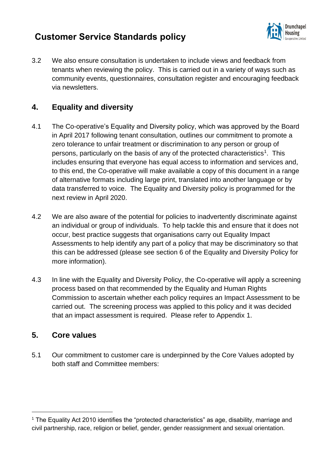

3.2 We also ensure consultation is undertaken to include views and feedback from tenants when reviewing the policy. This is carried out in a variety of ways such as community events, questionnaires, consultation register and encouraging feedback via newsletters.

### **4. Equality and diversity**

- 4.1 The Co-operative's Equality and Diversity policy, which was approved by the Board in April 2017 following tenant consultation, outlines our commitment to promote a zero tolerance to unfair treatment or discrimination to any person or group of persons, particularly on the basis of any of the protected characteristics<sup>1</sup>. This includes ensuring that everyone has equal access to information and services and, to this end, the Co-operative will make available a copy of this document in a range of alternative formats including large print, translated into another language or by data transferred to voice. The Equality and Diversity policy is programmed for the next review in April 2020.
- 4.2 We are also aware of the potential for policies to inadvertently discriminate against an individual or group of individuals. To help tackle this and ensure that it does not occur, best practice suggests that organisations carry out Equality Impact Assessments to help identify any part of a policy that may be discriminatory so that this can be addressed (please see section 6 of the Equality and Diversity Policy for more information).
- 4.3 In line with the Equality and Diversity Policy, the Co-operative will apply a screening process based on that recommended by the Equality and Human Rights Commission to ascertain whether each policy requires an Impact Assessment to be carried out. The screening process was applied to this policy and it was decided that an impact assessment is required. Please refer to Appendix 1.

### **5. Core values**

5.1 Our commitment to customer care is underpinned by the Core Values adopted by both staff and Committee members:

<sup>&</sup>lt;sup>1</sup> The Equality Act 2010 identifies the "protected characteristics" as age, disability, marriage and civil partnership, race, religion or belief, gender, gender reassignment and sexual orientation.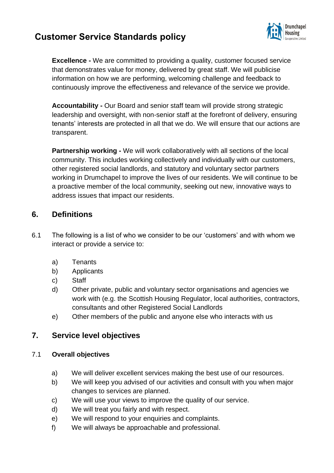

**Excellence -** We are committed to providing a quality, customer focused service that demonstrates value for money, delivered by great staff. We will publicise information on how we are performing, welcoming challenge and feedback to continuously improve the effectiveness and relevance of the service we provide.

**Accountability -** Our Board and senior staff team will provide strong strategic leadership and oversight, with non-senior staff at the forefront of delivery, ensuring tenants' interests are protected in all that we do. We will ensure that our actions are transparent.

**Partnership working -** We will work collaboratively with all sections of the local community. This includes working collectively and individually with our customers, other registered social landlords, and statutory and voluntary sector partners working in Drumchapel to improve the lives of our residents. We will continue to be a proactive member of the local community, seeking out new, innovative ways to address issues that impact our residents.

### **6. Definitions**

- 6.1 The following is a list of who we consider to be our 'customers' and with whom we interact or provide a service to:
	- a) Tenants
	- b) Applicants
	- c) Staff
	- d) Other private, public and voluntary sector organisations and agencies we work with (e.g. the Scottish Housing Regulator, local authorities, contractors, consultants and other Registered Social Landlords
	- e) Other members of the public and anyone else who interacts with us

### **7. Service level objectives**

### 7.1 **Overall objectives**

- a) We will deliver excellent services making the best use of our resources.
- b) We will keep you advised of our activities and consult with you when major changes to services are planned.
- c) We will use your views to improve the quality of our service.
- d) We will treat you fairly and with respect.
- e) We will respond to your enquiries and complaints.
- f) We will always be approachable and professional.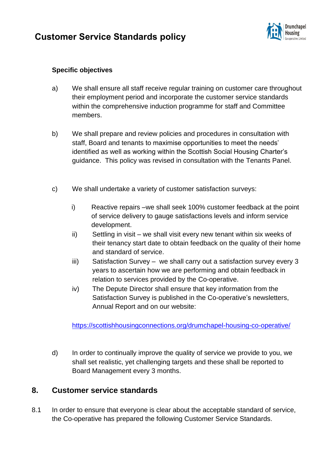

### **Specific objectives**

- a) We shall ensure all staff receive regular training on customer care throughout their employment period and incorporate the customer service standards within the comprehensive induction programme for staff and Committee members.
- b) We shall prepare and review policies and procedures in consultation with staff, Board and tenants to maximise opportunities to meet the needs' identified as well as working within the Scottish Social Housing Charter's guidance. This policy was revised in consultation with the Tenants Panel.
- c) We shall undertake a variety of customer satisfaction surveys:
	- i) Reactive repairs –we shall seek 100% customer feedback at the point of service delivery to gauge satisfactions levels and inform service development.
	- ii) Settling in visit we shall visit every new tenant within six weeks of their tenancy start date to obtain feedback on the quality of their home and standard of service.
	- iii) Satisfaction Survey we shall carry out a satisfaction survey every 3 years to ascertain how we are performing and obtain feedback in relation to services provided by the Co-operative.
	- iv) The Depute Director shall ensure that key information from the Satisfaction Survey is published in the Co-operative's newsletters, Annual Report and on our website:

<https://scottishhousingconnections.org/drumchapel-housing-co-operative/>

d) In order to continually improve the quality of service we provide to you, we shall set realistic, yet challenging targets and these shall be reported to Board Management every 3 months.

### **8. Customer service standards**

8.1 In order to ensure that everyone is clear about the acceptable standard of service, the Co-operative has prepared the following Customer Service Standards.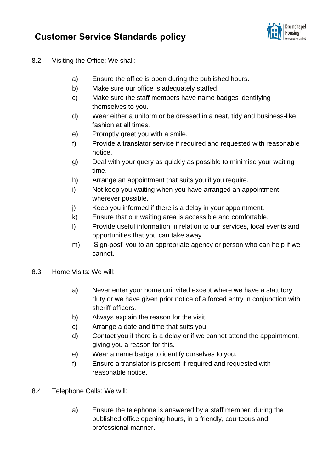

- 8.2 Visiting the Office: We shall:
	- a) Ensure the office is open during the published hours.
	- b) Make sure our office is adequately staffed.
	- c) Make sure the staff members have name badges identifying themselves to you.
	- d) Wear either a uniform or be dressed in a neat, tidy and business-like fashion at all times.
	- e) Promptly greet you with a smile.
	- f) Provide a translator service if required and requested with reasonable notice.
	- g) Deal with your query as quickly as possible to minimise your waiting time.
	- h) Arrange an appointment that suits you if you require.
	- i) Not keep you waiting when you have arranged an appointment, wherever possible.
	- j) Keep you informed if there is a delay in your appointment.
	- k) Ensure that our waiting area is accessible and comfortable.
	- l) Provide useful information in relation to our services, local events and opportunities that you can take away.
	- m) 'Sign-post' you to an appropriate agency or person who can help if we cannot.
- 8.3 Home Visits: We will:
	- a) Never enter your home uninvited except where we have a statutory duty or we have given prior notice of a forced entry in conjunction with sheriff officers.
	- b) Always explain the reason for the visit.
	- c) Arrange a date and time that suits you.
	- d) Contact you if there is a delay or if we cannot attend the appointment, giving you a reason for this.
	- e) Wear a name badge to identify ourselves to you.
	- f) Ensure a translator is present if required and requested with reasonable notice.
- 8.4 Telephone Calls: We will:
	- a) Ensure the telephone is answered by a staff member, during the published office opening hours, in a friendly, courteous and professional manner.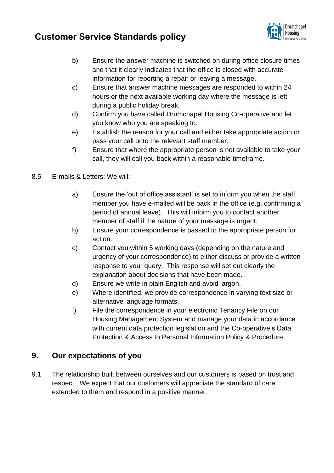

- b) Ensure the answer machine is switched on during office closure times and that it clearly indicates that the office is closed with accurate information for reporting a repair or leaving a message.
- c) Ensure that answer machine messages are responded to within 24 hours or the next available working day where the message is left during a public holiday break.
- d) Confirm you have called Drumchapel Housing Co-operative and let you know who you are speaking to.
- e) Establish the reason for your call and either take appropriate action or pass your call onto the relevant staff member.
- f) Ensure that where the appropriate person is not available to take your call, they will call you back within a reasonable timeframe.
- 8.5 E-mails & Letters: We will:
	- a) Ensure the 'out of office assistant' is set to inform you when the staff member you have e-mailed will be back in the office (e.g. confirming a period of annual leave). This will inform you to contact another member of staff if the nature of your message is urgent.
	- b) Ensure your correspondence is passed to the appropriate person for action.
	- c) Contact you within 5 working days (depending on the nature and urgency of your correspondence) to either discuss or provide a written response to your query. This response will set out clearly the explanation about decisions that have been made.
	- d) Ensure we write in plain English and avoid jargon.
	- e) Where identified, we provide correspondence in varying text size or alternative language formats.
	- f) File the correspondence in your electronic Tenancy File on our Housing Management System and manage your data in accordance with current data protection legislation and the Co-operative's Data Protection & Access to Personal Information Policy & Procedure.

### **9. Our expectations of you**

9.1 The relationship built between ourselves and our customers is based on trust and respect. We expect that our customers will appreciate the standard of care extended to them and respond in a positive manner.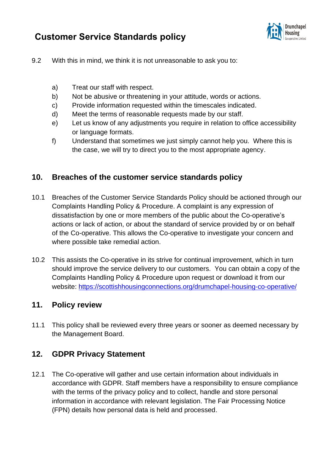

- 9.2 With this in mind, we think it is not unreasonable to ask you to:
	- a) Treat our staff with respect.
	- b) Not be abusive or threatening in your attitude, words or actions.
	- c) Provide information requested within the timescales indicated.
	- d) Meet the terms of reasonable requests made by our staff.
	- e) Let us know of any adjustments you require in relation to office accessibility or language formats.
	- f) Understand that sometimes we just simply cannot help you. Where this is the case, we will try to direct you to the most appropriate agency.

### **10. Breaches of the customer service standards policy**

- 10.1 Breaches of the Customer Service Standards Policy should be actioned through our Complaints Handling Policy & Procedure. A complaint is any expression of dissatisfaction by one or more members of the public about the Co-operative's actions or lack of action, or about the standard of service provided by or on behalf of the Co-operative. This allows the Co-operative to investigate your concern and where possible take remedial action.
- 10.2 This assists the Co-operative in its strive for continual improvement, which in turn should improve the service delivery to our customers. You can obtain a copy of the Complaints Handling Policy & Procedure upon request or download it from our website:<https://scottishhousingconnections.org/drumchapel-housing-co-operative/>

### **11. Policy review**

11.1 This policy shall be reviewed every three years or sooner as deemed necessary by the Management Board.

### **12. GDPR Privacy Statement**

12.1 The Co-operative will gather and use certain information about individuals in accordance with GDPR. Staff members have a responsibility to ensure compliance with the terms of the privacy policy and to collect, handle and store personal information in accordance with relevant legislation. The Fair Processing Notice (FPN) details how personal data is held and processed.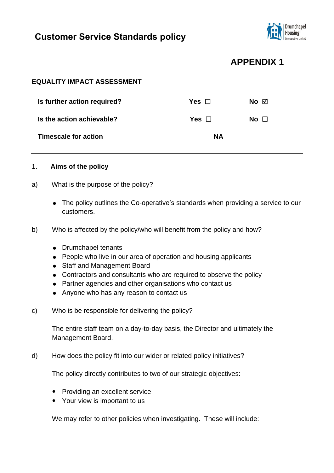

## **APPENDIX 1**

### **EQUALITY IMPACT ASSESSMENT**

| Is further action required? | Yes □      | No $\boxtimes$ |
|-----------------------------|------------|----------------|
| Is the action achievable?   | Yes $\Box$ | No $\Box$      |
| Timescale for action        | <b>NA</b>  |                |

#### 1. **Aims of the policy**

- a) What is the purpose of the policy?
	- The policy outlines the Co-operative's standards when providing a service to our customers.
- b) Who is affected by the policy/who will benefit from the policy and how?
	- Drumchapel tenants
	- People who live in our area of operation and housing applicants
	- Staff and Management Board
	- Contractors and consultants who are required to observe the policy
	- Partner agencies and other organisations who contact us
	- Anyone who has any reason to contact us
- c) Who is be responsible for delivering the policy?

The entire staff team on a day-to-day basis, the Director and ultimately the Management Board.

d) How does the policy fit into our wider or related policy initiatives?

The policy directly contributes to two of our strategic objectives:

- Providing an excellent service
- Your view is important to us

We may refer to other policies when investigating. These will include: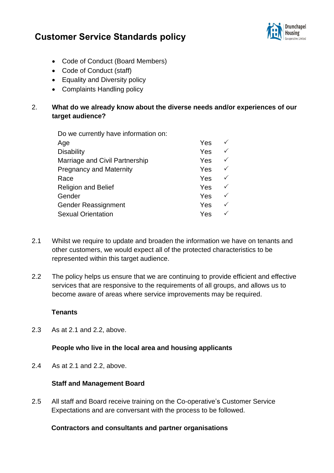

- Code of Conduct (Board Members)
- Code of Conduct (staff)
- Equality and Diversity policy
- Complaints Handling policy

### 2. **What do we already know about the diverse needs and/or experiences of our target audience?**

| Do we currently have information on: |  |
|--------------------------------------|--|
| $\Delta$ $\sim$                      |  |

| Age                            | Yes |              |
|--------------------------------|-----|--------------|
| <b>Disability</b>              | Yes |              |
| Marriage and Civil Partnership | Yes |              |
| <b>Pregnancy and Maternity</b> | Yes | $\checkmark$ |
| Race                           | Yes | $\checkmark$ |
| <b>Religion and Belief</b>     | Yes | $\checkmark$ |
| Gender                         | Yes | ✓            |
| <b>Gender Reassignment</b>     | Yes | ✓            |
| <b>Sexual Orientation</b>      | Yes |              |
|                                |     |              |

- 2.1 Whilst we require to update and broaden the information we have on tenants and other customers, we would expect all of the protected characteristics to be represented within this target audience.
- 2.2 The policy helps us ensure that we are continuing to provide efficient and effective services that are responsive to the requirements of all groups, and allows us to become aware of areas where service improvements may be required.

### **Tenants**

2.3 As at 2.1 and 2.2, above.

#### **People who live in the local area and housing applicants**

2.4 As at 2.1 and 2.2, above.

### **Staff and Management Board**

2.5 All staff and Board receive training on the Co-operative's Customer Service Expectations and are conversant with the process to be followed.

#### **Contractors and consultants and partner organisations**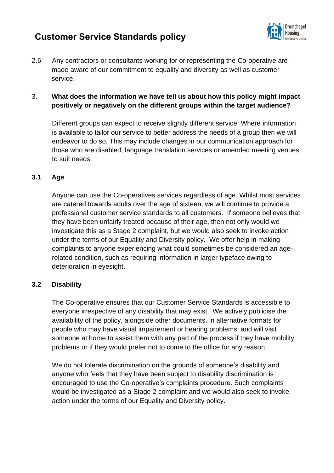

2.6 Any contractors or consultants working for or representing the Co-operative are made aware of our commitment to equality and diversity as well as customer service.

### 3. **What does the information we have tell us about how this policy might impact positively or negatively on the different groups within the target audience?**

Different groups can expect to receive slightly different service. Where information is available to tailor our service to better address the needs of a group then we will endeavor to do so. This may include changes in our communication approach for those who are disabled, language translation services or amended meeting venues to suit needs.

### **3.1 Age**

Anyone can use the Co-operatives services regardless of age. Whilst most services are catered towards adults over the age of sixteen, we will continue to provide a professional customer service standards to all customers. If someone believes that they have been unfairly treated because of their age, then not only would we investigate this as a Stage 2 complaint, but we would also seek to invoke action under the terms of our Equality and Diversity policy. We offer help in making complaints to anyone experiencing what could sometimes be considered an agerelated condition, such as requiring information in larger typeface owing to deterioration in eyesight.

### **3.2 Disability**

The Co-operative ensures that our Customer Service Standards is accessible to everyone irrespective of any disability that may exist. We actively publicise the availability of the policy, alongside other documents, in alternative formats for people who may have visual impairement or hearing problems, and will visit someone at home to assist them with any part of the process if they have mobility problems or if they would prefer not to come to the office for any reason.

We do not tolerate discrimination on the grounds of someone's disability and anyone who feels that they have been subject to disability discrimination is encouraged to use the Co-operative's complaints procedure. Such complaints would be investigated as a Stage 2 complaint and we would also seek to invoke action under the terms of our Equality and Diversity policy.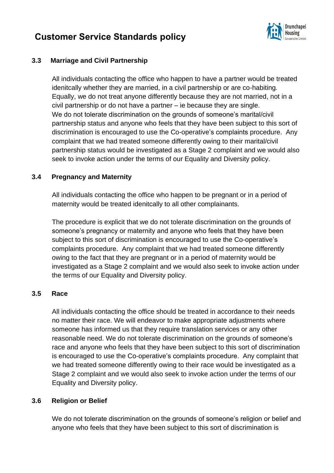

### **3.3 Marriage and Civil Partnership**

All individuals contacting the office who happen to have a partner would be treated idenitcally whether they are married, in a civil partnership or are co-habiting. Equally, we do not treat anyone differently because they are not married, not in a civil partnership or do not have a partner – ie because they are single. We do not tolerate discrimination on the grounds of someone's marital/civil partnership status and anyone who feels that they have been subject to this sort of discrimination is encouraged to use the Co-operative's complaints procedure. Any complaint that we had treated someone differently owing to their marital/civil partnership status would be investigated as a Stage 2 complaint and we would also seek to invoke action under the terms of our Equality and Diversity policy.

#### **3.4 Pregnancy and Maternity**

All individuals contacting the office who happen to be pregnant or in a period of maternity would be treated idenitcally to all other complainants.

The procedure is explicit that we do not tolerate discrimination on the grounds of someone's pregnancy or maternity and anyone who feels that they have been subject to this sort of discrimination is encouraged to use the Co-operative's complaints procedure. Any complaint that we had treated someone differently owing to the fact that they are pregnant or in a period of maternity would be investigated as a Stage 2 complaint and we would also seek to invoke action under the terms of our Equality and Diversity policy.

#### **3.5 Race**

All individuals contacting the office should be treated in accordance to their needs no matter their race. We will endeavor to make appropriate adjustments where someone has informed us that they require translation services or any other reasonable need. We do not tolerate discrimination on the grounds of someone's race and anyone who feels that they have been subject to this sort of discrimination is encouraged to use the Co-operative's complaints procedure. Any complaint that we had treated someone differently owing to their race would be investigated as a Stage 2 complaint and we would also seek to invoke action under the terms of our Equality and Diversity policy.

### **3.6 Religion or Belief**

We do not tolerate discrimination on the grounds of someone's religion or belief and anyone who feels that they have been subject to this sort of discrimination is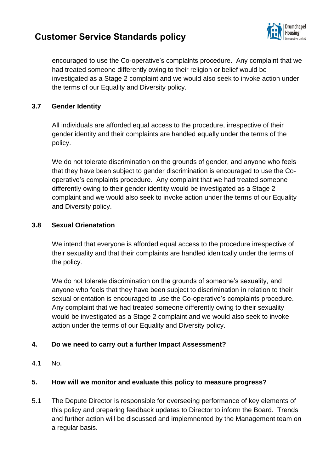

encouraged to use the Co-operative's complaints procedure. Any complaint that we had treated someone differently owing to their religion or belief would be investigated as a Stage 2 complaint and we would also seek to invoke action under the terms of our Equality and Diversity policy.

#### **3.7 Gender Identity**

All individuals are afforded equal access to the procedure, irrespective of their gender identity and their complaints are handled equally under the terms of the policy.

We do not tolerate discrimination on the grounds of gender, and anyone who feels that they have been subject to gender discrimination is encouraged to use the Cooperative's complaints procedure. Any complaint that we had treated someone differently owing to their gender identity would be investigated as a Stage 2 complaint and we would also seek to invoke action under the terms of our Equality and Diversity policy.

#### **3.8 Sexual Orienatation**

We intend that everyone is afforded equal access to the procedure irrespective of their sexuality and that their complaints are handled idenitcally under the terms of the policy.

We do not tolerate discrimination on the grounds of someone's sexuality, and anyone who feels that they have been subject to discrimination in relation to their sexual orientation is encouraged to use the Co-operative's complaints procedure. Any complaint that we had treated someone differently owing to their sexuality would be investigated as a Stage 2 complaint and we would also seek to invoke action under the terms of our Equality and Diversity policy.

### **4. Do we need to carry out a further Impact Assessment?**

4.1 No.

#### **5. How will we monitor and evaluate this policy to measure progress?**

5.1 The Depute Director is responsible for overseeing performance of key elements of this policy and preparing feedback updates to Director to inform the Board. Trends and further action will be discussed and implemnented by the Management team on a regular basis.